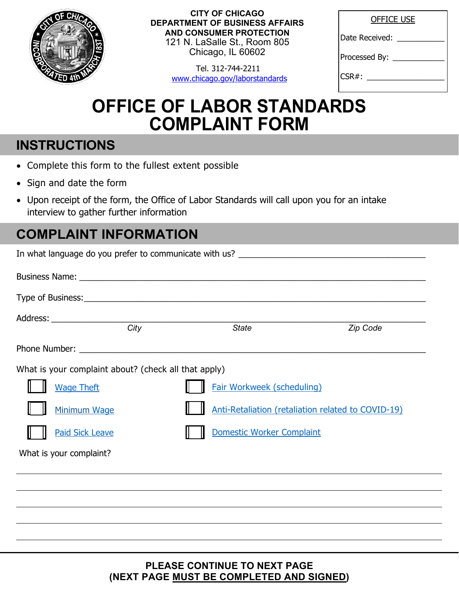

**CITY OF CHICAGO DEPARTMENT OF BUSINESS AFFAIRS AND CONSUMER PROTECTION**  121 N. LaSalle St., Room 805 Chicago, IL 60602

> Tel. 312-744-2211 www.chicago.gov/laborstandards

| <b>OFFICE USE</b> |
|-------------------|
| Date Received:    |
| Processed By:     |
| CSR#:             |

## **OFFICE OF LABOR STANDARDS COMPLAINT FORM**

## **INSTRUCTIONS**

- Complete this form to the fullest extent possible
- Sign and date the form
- Upon receipt of the form, the Office of Labor Standards will call upon you for an intake interview to gather further information

## **COMPLAINT INFORMATION**

|                                                      | <b>State</b>                      | Zip Code                                           |
|------------------------------------------------------|-----------------------------------|----------------------------------------------------|
|                                                      |                                   |                                                    |
| What is your complaint about? (check all that apply) |                                   |                                                    |
| <b>Wage Theft</b>                                    | <b>Fair Workweek (scheduling)</b> |                                                    |
| Minimum Wage                                         |                                   | Anti-Retaliation (retaliation related to COVID-19) |
| <b>Paid Sick Leave</b>                               | Domestic Worker Complaint         |                                                    |
| What is your complaint?                              |                                   |                                                    |
|                                                      |                                   |                                                    |
|                                                      |                                   |                                                    |
|                                                      |                                   |                                                    |
|                                                      |                                   |                                                    |

**PLEASE CONTINUE TO NEXT PAGE (NEXT PAGE MUST BE COMPLETED AND SIGNED)**